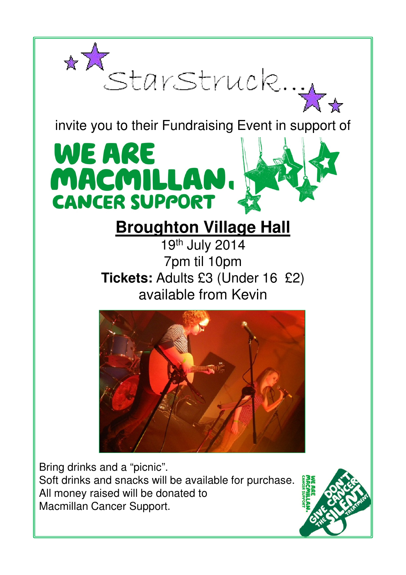

invite you to their Fundraising Event in support of

## WE ARE MACMILLAN **CANCER SUPPORT**

## **Broughton Village Hall**

19th July 2014 7pm til 10pm **Tickets:** Adults £3 (Under 16 £2) available from Kevin



Bring drinks and a "picnic". Soft drinks and snacks will be available for purchase. All money raised will be donated to Macmillan Cancer Support.

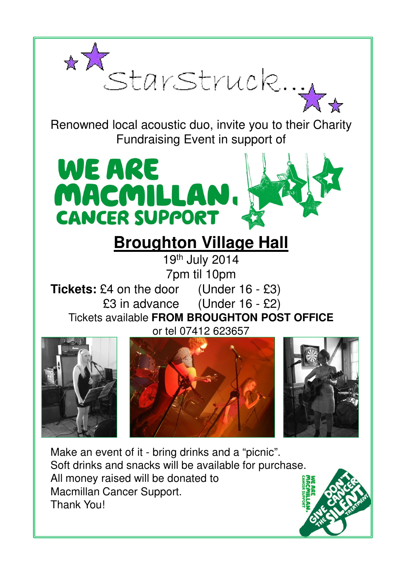

Renowned local acoustic duo, invite you to their Charity Fundraising Event in support of



## **Broughton Village Hall**

19th July 2014 7pm til 10pm

**Tickets:** £4 on the door (Under 16 - £3) £3 in advance (Under 16 - £2) Tickets available **FROM BROUGHTON POST OFFICE**  or tel 07412 623657







Make an event of it - bring drinks and a "picnic". Soft drinks and snacks will be available for purchase. All money raised will be donated to Macmillan Cancer Support. Thank You!